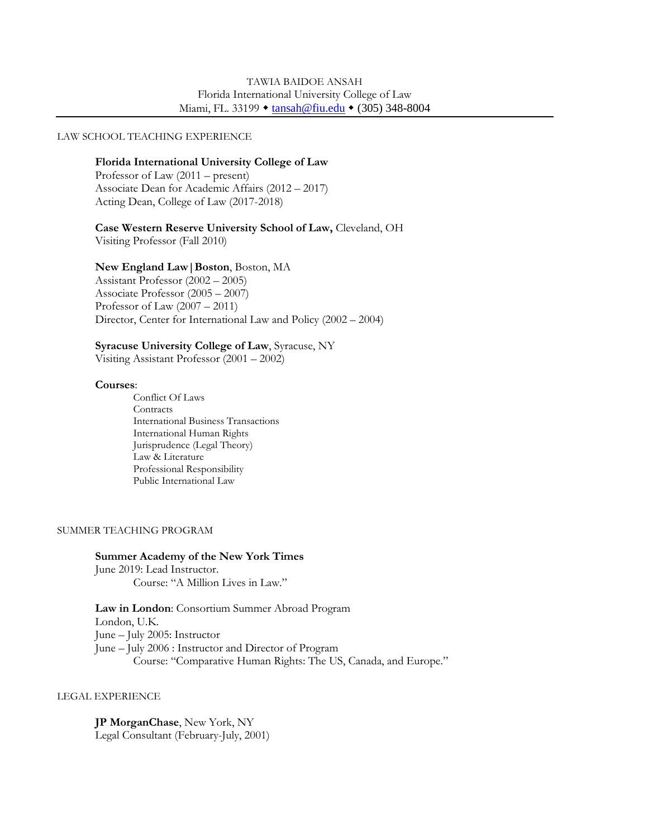#### LAW SCHOOL TEACHING EXPERIENCE

### **Florida International University College of Law**

Professor of Law (2011 – present) Associate Dean for Academic Affairs (2012 – 2017) Acting Dean, College of Law (2017-2018)

# **Case Western Reserve University School of Law,** Cleveland, OH

Visiting Professor (Fall 2010)

### **New England Law|Boston**, Boston, MA

Assistant Professor (2002 – 2005) Associate Professor (2005 – 2007) Professor of Law  $(2007 - 2011)$ Director, Center for International Law and Policy (2002 – 2004)

# **Syracuse University College of Law**, Syracuse, NY

Visiting Assistant Professor (2001 – 2002)

### **Courses**:

Conflict Of Laws **Contracts** International Business Transactions International Human Rights Jurisprudence (Legal Theory) Law & Literature Professional Responsibility Public International Law

#### SUMMER TEACHING PROGRAM

# **Summer Academy of the New York Times**

June 2019: Lead Instructor. Course: "A Million Lives in Law."

**Law in London**: Consortium Summer Abroad Program London, U.K. June – July 2005: Instructor June – July 2006 : Instructor and Director of Program Course: "Comparative Human Rights: The US, Canada, and Europe."

#### LEGAL EXPERIENCE

**JP MorganChase**, New York, NY Legal Consultant (February-July, 2001)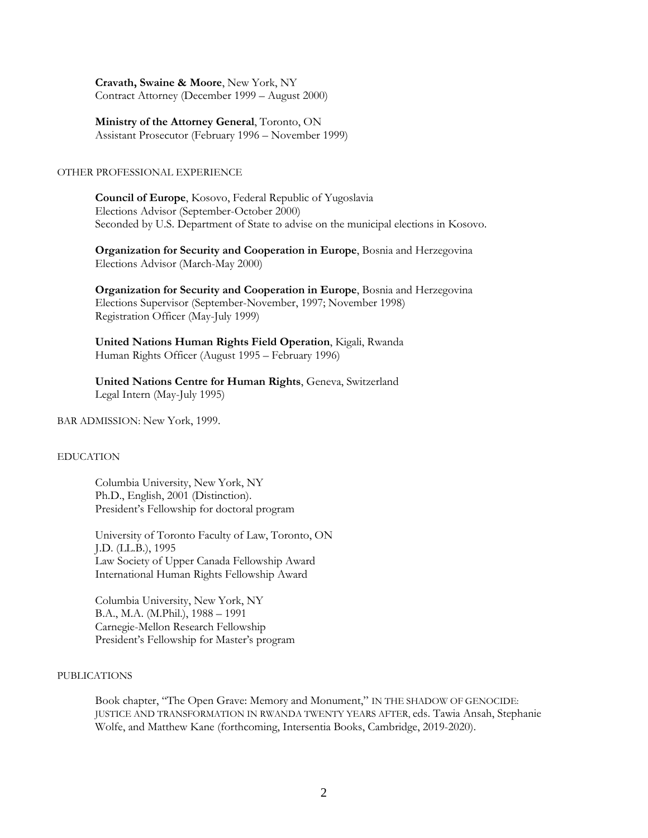**Cravath, Swaine & Moore**, New York, NY Contract Attorney (December 1999 – August 2000)

**Ministry of the Attorney General**, Toronto, ON Assistant Prosecutor (February 1996 – November 1999)

### OTHER PROFESSIONAL EXPERIENCE

**Council of Europe**, Kosovo, Federal Republic of Yugoslavia Elections Advisor (September-October 2000) Seconded by U.S. Department of State to advise on the municipal elections in Kosovo.

**Organization for Security and Cooperation in Europe**, Bosnia and Herzegovina Elections Advisor (March-May 2000)

**Organization for Security and Cooperation in Europe**, Bosnia and Herzegovina Elections Supervisor (September-November, 1997; November 1998) Registration Officer (May-July 1999)

**United Nations Human Rights Field Operation**, Kigali, Rwanda Human Rights Officer (August 1995 – February 1996)

**United Nations Centre for Human Rights**, Geneva, Switzerland Legal Intern (May-July 1995)

BAR ADMISSION: New York, 1999.

# EDUCATION

Columbia University, New York, NY Ph.D., English, 2001 (Distinction). President's Fellowship for doctoral program

University of Toronto Faculty of Law, Toronto, ON J.D. (LL.B.), 1995 Law Society of Upper Canada Fellowship Award International Human Rights Fellowship Award

Columbia University, New York, NY B.A., M.A. (M.Phil.), 1988 – 1991 Carnegie-Mellon Research Fellowship President's Fellowship for Master's program

# PUBLICATIONS

Book chapter, "The Open Grave: Memory and Monument," IN THE SHADOW OF GENOCIDE: JUSTICE AND TRANSFORMATION IN RWANDA TWENTY YEARS AFTER, eds. Tawia Ansah, Stephanie Wolfe, and Matthew Kane (forthcoming, Intersentia Books, Cambridge, 2019-2020).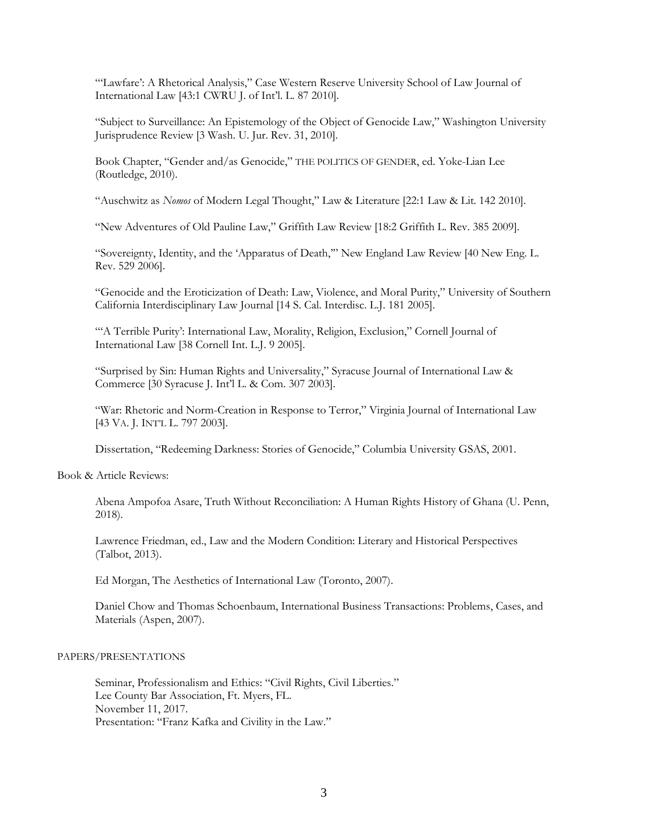"'Lawfare': A Rhetorical Analysis," Case Western Reserve University School of Law Journal of International Law [43:1 CWRU J. of Int'l. L. 87 2010].

"Subject to Surveillance: An Epistemology of the Object of Genocide Law," Washington University Jurisprudence Review [3 Wash. U. Jur. Rev. 31, 2010].

Book Chapter, "Gender and/as Genocide," THE POLITICS OF GENDER, ed. Yoke-Lian Lee (Routledge, 2010).

"Auschwitz as *Nomos* of Modern Legal Thought," Law & Literature [22:1 Law & Lit. 142 2010].

"New Adventures of Old Pauline Law," Griffith Law Review [18:2 Griffith L. Rev. 385 2009].

"Sovereignty, Identity, and the 'Apparatus of Death,'" New England Law Review [40 New Eng. L. Rev. 529 2006].

"Genocide and the Eroticization of Death: Law, Violence, and Moral Purity," University of Southern California Interdisciplinary Law Journal [14 S. Cal. Interdisc. L.J. 181 2005].

""A Terrible Purity': International Law, Morality, Religion, Exclusion," Cornell Journal of International Law [38 Cornell Int. L.J. 9 2005].

"Surprised by Sin: Human Rights and Universality," Syracuse Journal of International Law & Commerce [30 Syracuse J. Int'l L. & Com. 307 2003].

"War: Rhetoric and Norm-Creation in Response to Terror," Virginia Journal of International Law [43 VA. J. INT'L L. 797 2003].

Dissertation, "Redeeming Darkness: Stories of Genocide," Columbia University GSAS, 2001.

Book & Article Reviews:

Abena Ampofoa Asare, Truth Without Reconciliation: A Human Rights History of Ghana (U. Penn, 2018).

Lawrence Friedman, ed., Law and the Modern Condition: Literary and Historical Perspectives (Talbot, 2013).

Ed Morgan, The Aesthetics of International Law (Toronto, 2007).

Daniel Chow and Thomas Schoenbaum, International Business Transactions: Problems, Cases, and Materials (Aspen, 2007).

#### PAPERS/PRESENTATIONS

Seminar, Professionalism and Ethics: "Civil Rights, Civil Liberties." Lee County Bar Association, Ft. Myers, FL. November 11, 2017. Presentation: "Franz Kafka and Civility in the Law."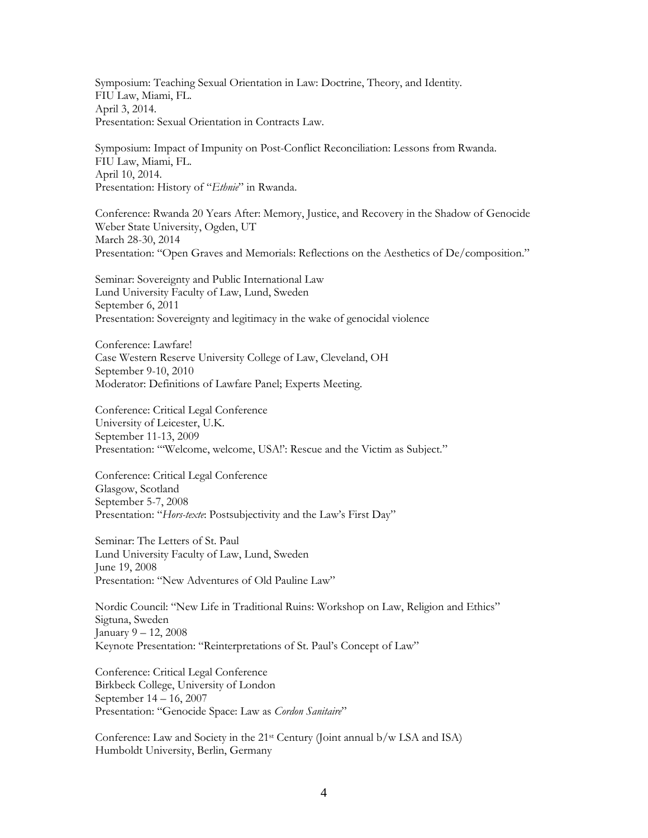Symposium: Teaching Sexual Orientation in Law: Doctrine, Theory, and Identity. FIU Law, Miami, FL. April 3, 2014. Presentation: Sexual Orientation in Contracts Law.

Symposium: Impact of Impunity on Post-Conflict Reconciliation: Lessons from Rwanda. FIU Law, Miami, FL. April 10, 2014. Presentation: History of "*Ethnie*" in Rwanda.

Conference: Rwanda 20 Years After: Memory, Justice, and Recovery in the Shadow of Genocide Weber State University, Ogden, UT March 28-30, 2014 Presentation: "Open Graves and Memorials: Reflections on the Aesthetics of De/composition."

Seminar: Sovereignty and Public International Law Lund University Faculty of Law, Lund, Sweden September 6, 2011 Presentation: Sovereignty and legitimacy in the wake of genocidal violence

Conference: Lawfare! Case Western Reserve University College of Law, Cleveland, OH September 9-10, 2010 Moderator: Definitions of Lawfare Panel; Experts Meeting.

Conference: Critical Legal Conference University of Leicester, U.K. September 11-13, 2009 Presentation: "Welcome, welcome, USA!': Rescue and the Victim as Subject."

Conference: Critical Legal Conference Glasgow, Scotland September 5-7, 2008 Presentation: "*Hors-texte*: Postsubjectivity and the Law's First Day"

Seminar: The Letters of St. Paul Lund University Faculty of Law, Lund, Sweden June 19, 2008 Presentation: "New Adventures of Old Pauline Law"

Nordic Council: "New Life in Traditional Ruins: Workshop on Law, Religion and Ethics" Sigtuna, Sweden January 9 – 12, 2008 Keynote Presentation: "Reinterpretations of St. Paul's Concept of Law"

Conference: Critical Legal Conference Birkbeck College, University of London September 14 – 16, 2007 Presentation: "Genocide Space: Law as *Cordon Sanitaire*"

Conference: Law and Society in the  $21^{st}$  Century (Joint annual b/w LSA and ISA) Humboldt University, Berlin, Germany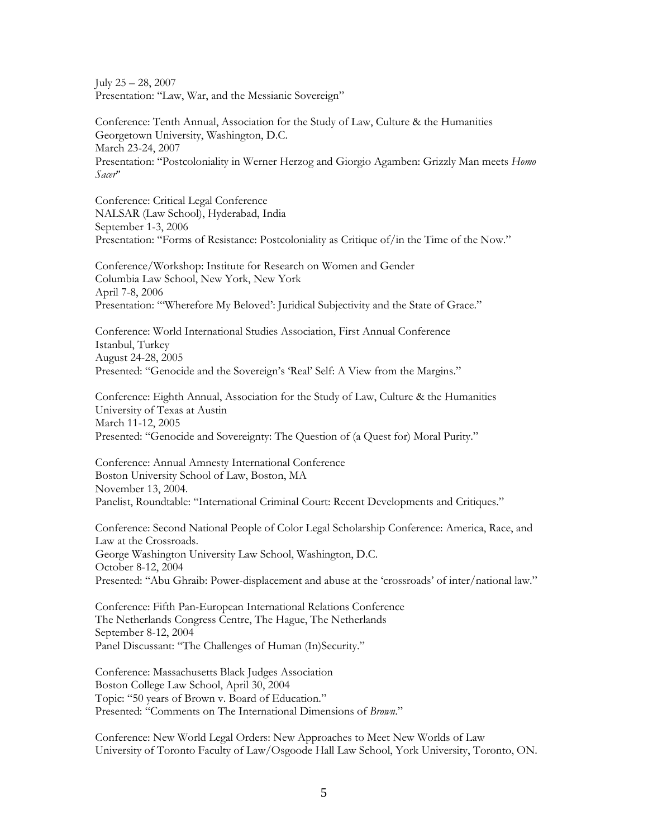July 25 – 28, 2007 Presentation: "Law, War, and the Messianic Sovereign"

Conference: Tenth Annual, Association for the Study of Law, Culture & the Humanities Georgetown University, Washington, D.C. March 23-24, 2007 Presentation: "Postcoloniality in Werner Herzog and Giorgio Agamben: Grizzly Man meets *Homo Sacer*"

Conference: Critical Legal Conference NALSAR (Law School), Hyderabad, India September 1-3, 2006 Presentation: "Forms of Resistance: Postcoloniality as Critique of/in the Time of the Now."

Conference/Workshop: Institute for Research on Women and Gender Columbia Law School, New York, New York April 7-8, 2006 Presentation: "'Wherefore My Beloved': Juridical Subjectivity and the State of Grace."

Conference: World International Studies Association, First Annual Conference Istanbul, Turkey August 24-28, 2005 Presented: "Genocide and the Sovereign's 'Real' Self: A View from the Margins."

Conference: Eighth Annual, Association for the Study of Law, Culture & the Humanities University of Texas at Austin March 11-12, 2005 Presented: "Genocide and Sovereignty: The Question of (a Quest for) Moral Purity."

Conference: Annual Amnesty International Conference Boston University School of Law, Boston, MA November 13, 2004. Panelist, Roundtable: "International Criminal Court: Recent Developments and Critiques."

Conference: Second National People of Color Legal Scholarship Conference: America, Race, and Law at the Crossroads. George Washington University Law School, Washington, D.C. October 8-12, 2004 Presented: "Abu Ghraib: Power-displacement and abuse at the 'crossroads' of inter/national law."

Conference: Fifth Pan-European International Relations Conference The Netherlands Congress Centre, The Hague, The Netherlands September 8-12, 2004 Panel Discussant: "The Challenges of Human (In)Security."

Conference: Massachusetts Black Judges Association Boston College Law School, April 30, 2004 Topic: "50 years of Brown v. Board of Education." Presented: "Comments on The International Dimensions of *Brown*."

Conference: New World Legal Orders: New Approaches to Meet New Worlds of Law University of Toronto Faculty of Law/Osgoode Hall Law School, York University, Toronto, ON.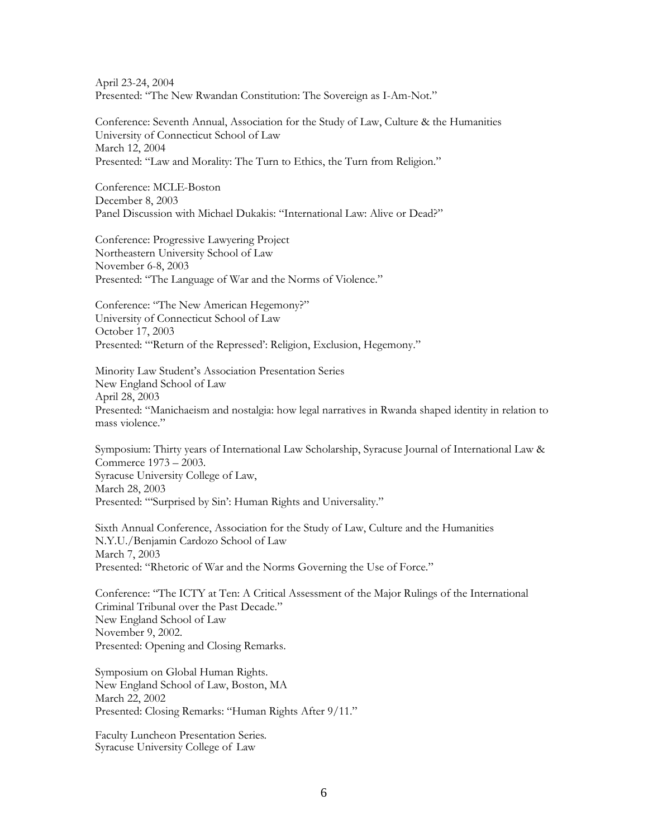April 23-24, 2004 Presented: "The New Rwandan Constitution: The Sovereign as I-Am-Not."

Conference: Seventh Annual, Association for the Study of Law, Culture & the Humanities University of Connecticut School of Law March 12, 2004 Presented: "Law and Morality: The Turn to Ethics, the Turn from Religion."

Conference: MCLE-Boston December 8, 2003 Panel Discussion with Michael Dukakis: "International Law: Alive or Dead?"

Conference: Progressive Lawyering Project Northeastern University School of Law November 6-8, 2003 Presented: "The Language of War and the Norms of Violence."

Conference: "The New American Hegemony?" University of Connecticut School of Law October 17, 2003 Presented: "'Return of the Repressed': Religion, Exclusion, Hegemony."

Minority Law Student's Association Presentation Series New England School of Law April 28, 2003 Presented: "Manichaeism and nostalgia: how legal narratives in Rwanda shaped identity in relation to mass violence."

Symposium: Thirty years of International Law Scholarship, Syracuse Journal of International Law & Commerce 1973 – 2003. Syracuse University College of Law, March 28, 2003 Presented: "'Surprised by Sin': Human Rights and Universality."

Sixth Annual Conference, Association for the Study of Law, Culture and the Humanities N.Y.U./Benjamin Cardozo School of Law March 7, 2003 Presented: "Rhetoric of War and the Norms Governing the Use of Force."

Conference: "The ICTY at Ten: A Critical Assessment of the Major Rulings of the International Criminal Tribunal over the Past Decade." New England School of Law November 9, 2002. Presented: Opening and Closing Remarks.

Symposium on Global Human Rights. New England School of Law, Boston, MA March 22, 2002 Presented: Closing Remarks: "Human Rights After 9/11."

Faculty Luncheon Presentation Series. Syracuse University College of Law